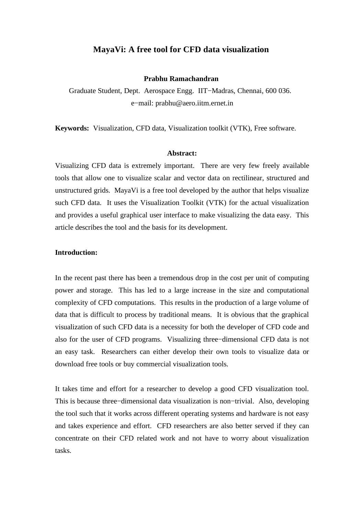# **MayaVi: A free tool for CFD data visualization**

#### **Prabhu Ramachandran**

Graduate Student, Dept. Aerospace Engg. IIT−Madras, Chennai, 600 036. e−mail: prabhu@aero.iitm.ernet.in

**Keywords:** Visualization, CFD data, Visualization toolkit (VTK), Free software.

#### **Abstract:**

Visualizing CFD data is extremely important. There are very few freely available tools that allow one to visualize scalar and vector data on rectilinear, structured and unstructured grids. MayaVi is a free tool developed by the author that helps visualize such CFD data. It uses the Visualization Toolkit (VTK) for the actual visualization and provides a useful graphical user interface to make visualizing the data easy. This article describes the tool and the basis for its development.

### **Introduction:**

In the recent past there has been a tremendous drop in the cost per unit of computing power and storage. This has led to a large increase in the size and computational complexity of CFD computations. This results in the production of a large volume of data that is difficult to process by traditional means. It is obvious that the graphical visualization of such CFD data is a necessity for both the developer of CFD code and also for the user of CFD programs. Visualizing three−dimensional CFD data is not an easy task. Researchers can either develop their own tools to visualize data or download free tools or buy commercial visualization tools.

It takes time and effort for a researcher to develop a good CFD visualization tool. This is because three−dimensional data visualization is non−trivial. Also, developing the tool such that it works across different operating systems and hardware is not easy and takes experience and effort. CFD researchers are also better served if they can concentrate on their CFD related work and not have to worry about visualization tasks.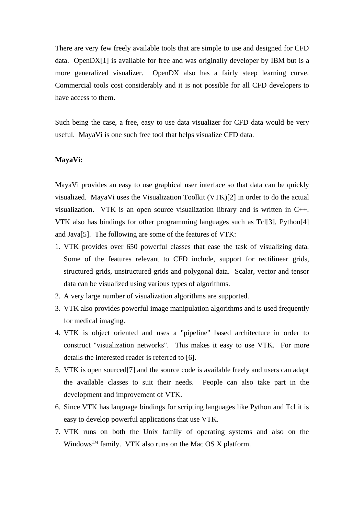There are very few freely available tools that are simple to use and designed for CFD data. OpenDX[1] is available for free and was originally developer by IBM but is a more generalized visualizer. OpenDX also has a fairly steep learning curve. Commercial tools cost considerably and it is not possible for all CFD developers to have access to them.

Such being the case, a free, easy to use data visualizer for CFD data would be very useful. MayaVi is one such free tool that helps visualize CFD data.

#### **MayaVi:**

MayaVi provides an easy to use graphical user interface so that data can be quickly visualized. MayaVi uses the Visualization Toolkit (VTK)[2] in order to do the actual visualization. VTK is an open source visualization library and is written in C++. VTK also has bindings for other programming languages such as Tcl[3], Python[4] and Java[5]. The following are some of the features of VTK:

- 1. VTK provides over 650 powerful classes that ease the task of visualizing data. Some of the features relevant to CFD include, support for rectilinear grids, structured grids, unstructured grids and polygonal data. Scalar, vector and tensor data can be visualized using various types of algorithms.
- 2. A very large number of visualization algorithms are supported.
- 3. VTK also provides powerful image manipulation algorithms and is used frequently for medical imaging.
- 4. VTK is object oriented and uses a "pipeline" based architecture in order to construct "visualization networks". This makes it easy to use VTK. For more details the interested reader is referred to [6].
- 5. VTK is open sourced[7] and the source code is available freely and users can adapt the available classes to suit their needs. People can also take part in the development and improvement of VTK.
- 6. Since VTK has language bindings for scripting languages like Python and Tcl it is easy to develop powerful applications that use VTK.
- 7. VTK runs on both the Unix family of operating systems and also on the Windows<sup>™</sup> family. VTK also runs on the Mac OS X platform.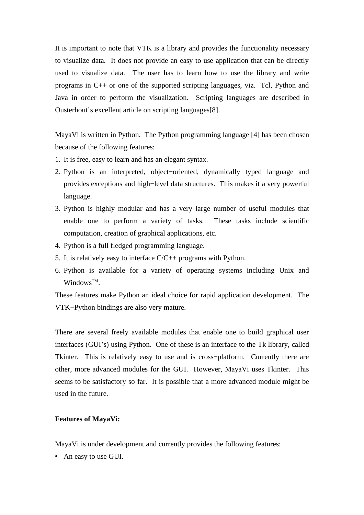It is important to note that VTK is a library and provides the functionality necessary to visualize data. It does not provide an easy to use application that can be directly used to visualize data. The user has to learn how to use the library and write programs in C++ or one of the supported scripting languages, viz. Tcl, Python and Java in order to perform the visualization. Scripting languages are described in Ousterhout's excellent article on scripting languages[8].

MayaVi is written in Python. The Python programming language [4] has been chosen because of the following features:

- 1. It is free, easy to learn and has an elegant syntax.
- 2. Python is an interpreted, object−oriented, dynamically typed language and provides exceptions and high−level data structures. This makes it a very powerful language.
- 3. Python is highly modular and has a very large number of useful modules that enable one to perform a variety of tasks. These tasks include scientific computation, creation of graphical applications, etc.
- 4. Python is a full fledged programming language.
- 5. It is relatively easy to interface C/C++ programs with Python.
- 6. Python is available for a variety of operating systems including Unix and Windows<sup>TM</sup>.

These features make Python an ideal choice for rapid application development. The VTK−Python bindings are also very mature.

There are several freely available modules that enable one to build graphical user interfaces (GUI's) using Python. One of these is an interface to the Tk library, called Tkinter. This is relatively easy to use and is cross−platform. Currently there are other, more advanced modules for the GUI. However, MayaVi uses Tkinter. This seems to be satisfactory so far. It is possible that a more advanced module might be used in the future.

### **Features of MayaVi:**

MayaVi is under development and currently provides the following features:

An easy to use GUI.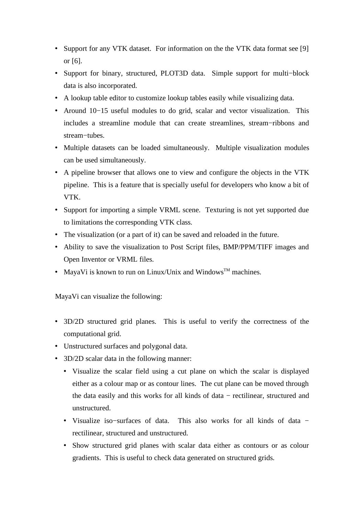- Support for any VTK dataset. For information on the the VTK data format see [9] or [6].
- Support for binary, structured, PLOT3D data. Simple support for multi−block data is also incorporated.
- A lookup table editor to customize lookup tables easily while visualizing data.
- Around 10−15 useful modules to do grid, scalar and vector visualization. This includes a streamline module that can create streamlines, stream−ribbons and stream−tubes.
- Multiple datasets can be loaded simultaneously. Multiple visualization modules can be used simultaneously.
- A pipeline browser that allows one to view and configure the objects in the VTK pipeline. This is a feature that is specially useful for developers who know a bit of VTK.
- Support for importing a simple VRML scene. Texturing is not yet supported due to limitations the corresponding VTK class.
- The visualization (or a part of it) can be saved and reloaded in the future.
- Ability to save the visualization to Post Script files, BMP/PPM/TIFF images and Open Inventor or VRML files.
- MayaVi is known to run on Linux/Unix and Windows<sup>™</sup> machines.

MayaVi can visualize the following:

- 3D/2D structured grid planes. This is useful to verify the correctness of the computational grid.
- Unstructured surfaces and polygonal data.
- 3D/2D scalar data in the following manner:
	- Visualize the scalar field using a cut plane on which the scalar is displayed either as a colour map or as contour lines. The cut plane can be moved through the data easily and this works for all kinds of data − rectilinear, structured and unstructured.
	- Visualize iso−surfaces of data. This also works for all kinds of data − rectilinear, structured and unstructured.
	- Show structured grid planes with scalar data either as contours or as colour gradients. This is useful to check data generated on structured grids.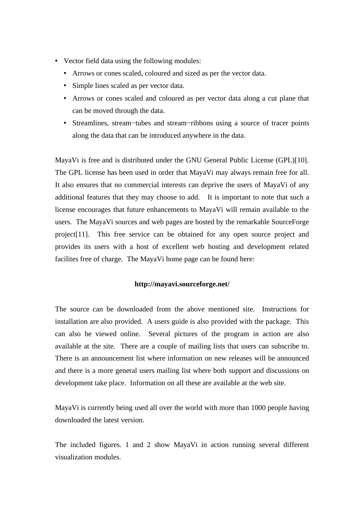- Vector field data using the following modules:
	- Arrows or cones scaled, coloured and sized as per the vector data.
	- Simple lines scaled as per vector data.
	- Arrows or cones scaled and coloured as per vector data along a cut plane that can be moved through the data.
	- Streamlines, stream−tubes and stream−ribbons using a source of tracer points along the data that can be introduced anywhere in the data.

MayaVi is free and is distributed under the GNU General Public License (GPL)[10]. The GPL license has been used in order that MayaVi may always remain free for all. It also ensures that no commercial interests can deprive the users of MayaVi of any additional features that they may choose to add. It is important to note that such a license encourages that future enhancements to MayaVi will remain available to the users. The MayaVi sources and web pages are hosted by the remarkable SourceForge project[11]. This free service can be obtained for any open source project and provides its users with a host of excellent web hosting and development related facilites free of charge. The MayaVi home page can be found here:

# **http://mayavi.sourceforge.net/**

The source can be downloaded from the above mentioned site. Instructions for installation are also provided. A users guide is also provided with the package. This can also be viewed online. Several pictures of the program in action are also available at the site. There are a couple of mailing lists that users can subscribe to. There is an announcement list where information on new releases will be announced and there is a more general users mailing list where both support and discussions on development take place. Information on all these are available at the web site.

MayaVi is currently being used all over the world with more than 1000 people having downloaded the latest version.

The included figures. 1 and 2 show MayaVi in action running several different visualization modules.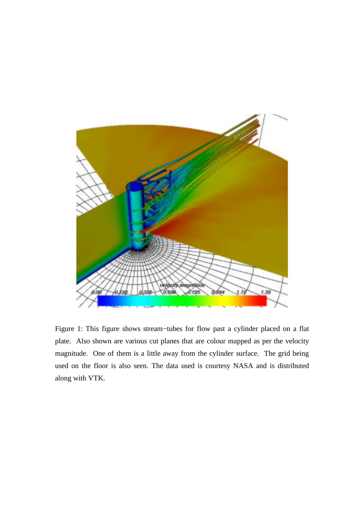

Figure 1: This figure shows stream−tubes for flow past a cylinder placed on a flat plate. Also shown are various cut planes that are colour mapped as per the velocity magnitude. One of them is a little away from the cylinder surface. The grid being used on the floor is also seen. The data used is courtesy NASA and is distributed along with VTK.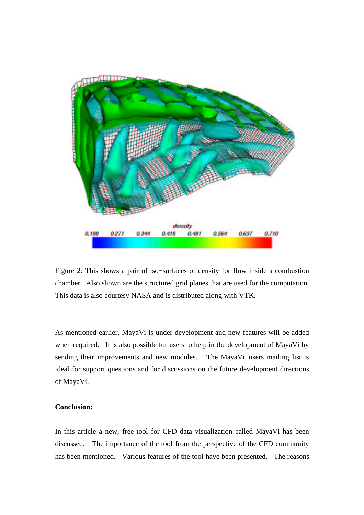

Figure 2: This shows a pair of iso−surfaces of density for flow inside a combustion chamber. Also shown are the structured grid planes that are used for the computation. This data is also courtesy NASA and is distributed along with VTK.

As mentioned earlier, MayaVi is under development and new features will be added when required. It is also possible for users to help in the development of MayaVi by sending their improvements and new modules. The MayaVi–users mailing list is ideal for support questions and for discussions on the future development directions of MayaVi.

# **Conclusion:**

In this article a new, free tool for CFD data visualization called MayaVi has been discussed. The importance of the tool from the perspective of the CFD community has been mentioned. Various features of the tool have been presented. The reasons